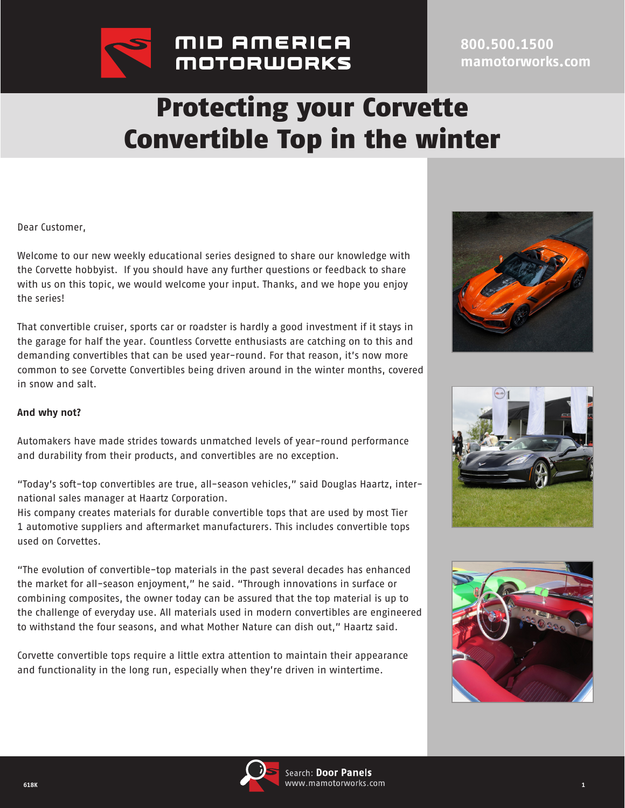

## **800.500.1500 mamotorworks.com**

## Protecting your Corvette Convertible Top in the winter

Dear Customer,

Welcome to our new weekly educational series designed to share our knowledge with the Corvette hobbyist. If you should have any further questions or feedback to share with us on this topic, we would welcome your input. Thanks, and we hope you enjoy the series!

That convertible cruiser, sports car or roadster is hardly a good investment if it stays in the garage for half the year. Countless Corvette enthusiasts are catching on to this and demanding convertibles that can be used year-round. For that reason, it's now more common to see Corvette Convertibles being driven around in the winter months, covered in snow and salt.





Automakers have made strides towards unmatched levels of year-round performance and durability from their products, and convertibles are no exception.

"Today's soft-top convertibles are true, all-season vehicles," said Douglas Haartz, international sales manager at Haartz Corporation.

His company creates materials for durable convertible tops that are used by most Tier 1 automotive suppliers and aftermarket manufacturers. This includes convertible tops used on Corvettes.

"The evolution of convertible-top materials in the past several decades has enhanced the market for all-season enjoyment," he said. "Through innovations in surface or combining composites, the owner today can be assured that the top material is up to the challenge of everyday use. All materials used in modern convertibles are engineered to withstand the four seasons, and what Mother Nature can dish out," Haartz said.

Corvette convertible tops require a little extra attention to maintain their appearance and functionality in the long run, especially when they're driven in wintertime.